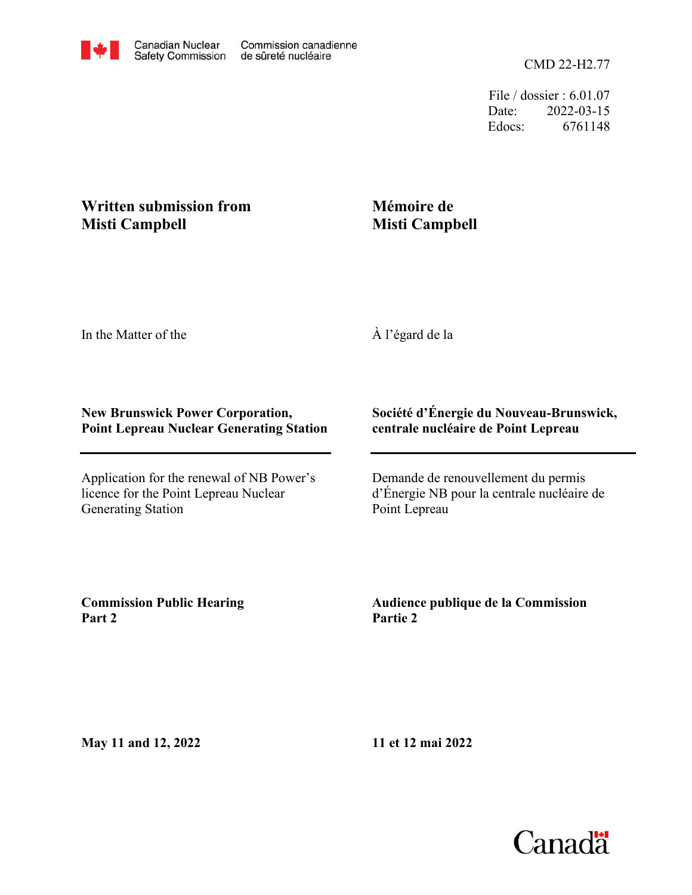CMD 22-H2.77

File / dossier : 6.01.07 Date: 2022-03-15 Edocs: 6761148

## **Written submission from Misti Campbell**

## **Mémoire de Misti Campbell**

In the Matter of the

À l'égard de la

## **New Brunswick Power Corporation, Point Lepreau Nuclear Generating Station**

Application for the renewal of NB Power's licence for the Point Lepreau Nuclear Generating Station

## **Société d'Énergie du Nouveau-Brunswick, centrale nucléaire de Point Lepreau**

Demande de renouvellement du permis d'Énergie NB pour la centrale nucléaire de Point Lepreau

**Commission Public Hearing Part 2**

**Audience publique de la Commission Partie 2**

**May 11 and 12, 2022**

**11 et 12 mai 2022**